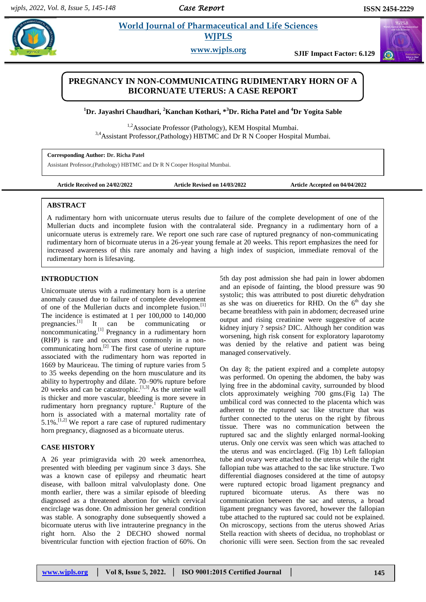#### *Case Report*

# **Paramaceutical and Life Sciences WJPLS**

**www.wjpls.org SJIF Impact Factor: 6.129**

## **PREGNANCY IN NON-COMMUNICATING RUDIMENTARY HORN OF A BICORNUATE UTERUS: A CASE REPORT**

**<sup>1</sup>Dr. Jayashri Chaudhari, <sup>2</sup>Kanchan Kothari, \*<sup>3</sup>Dr. Richa Patel and <sup>4</sup>Dr Yogita Sable**

<sup>1,2</sup>Associate Professor (Pathology), KEM Hospital Mumbai.  $3,4$ Assistant Professor,(Pathology) HBTMC and Dr R N Cooper Hospital Mumbai.

#### **Corresponding Author: Dr. Richa Patel**

Assistant Professor,(Pathology) HBTMC and Dr R N Cooper Hospital Mumbai.

**Article Received on 24/02/2022 Article Revised on 14/03/2022 Article Accepted on 04/04/2022**

### **ABSTRACT**

A rudimentary horn with unicornuate uterus results due to failure of the complete development of one of the Mullerian ducts and incomplete fusion with the contralateral side. Pregnancy in a rudimentary horn of a unicornuate uterus is extremely rare. We report one such rare case of ruptured pregnancy of non-communicating rudimentary horn of bicornuate uterus in a 26-year young female at 20 weeks. This report emphasizes the need for increased awareness of this rare anomaly and having a high index of suspicion, immediate removal of the rudimentary horn is lifesaving.

#### **INTRODUCTION**

Unicornuate uterus with a rudimentary horn is a uterine anomaly caused due to failure of complete development of one of the Mullerian ducts and incomplete fusion.<sup>[1]</sup> The incidence is estimated at 1 per 100,000 to 140,000 pregnancies.<sup>[1]</sup> It can be communicating or noncommunicating.<sup>[1]</sup> Pregnancy in a rudimentary horn (RHP) is rare and occurs most commonly in a noncommunicating horn.[2] The first case of uterine rupture associated with the rudimentary horn was reported in 1669 by Mauriceau. The timing of rupture varies from 5 to 35 weeks depending on the horn musculature and its ability to hypertrophy and dilate. 70–90% rupture before 20 weeks and can be catastrophic.<sup>[1,3]</sup> As the uterine wall is thicker and more vascular, bleeding is more severe in rudimentary horn pregnancy rupture.<sup>1</sup> Rupture of the horn is associated with a maternal mortality rate of  $5.1\%$ .<sup>[1,2]</sup> We report a rare case of ruptured rudimentary horn pregnancy, diagnosed as a bicornuate uterus.

## **CASE HISTORY**

A 26 year primigravida with 20 week amenorrhea, presented with bleeding per vaginum since 3 days. She was a known case of epilepsy and rheumatic heart disease, with balloon mitral valvuloplasty done. One month earlier, there was a similar episode of bleeding diagnosed as a threatened abortion for which cervical encirclage was done. On admission her general condition was stable. A sonography done subsequently showed a bicornuate uterus with live intrauterine pregnancy in the right horn. Also the 2 DECHO showed normal biventricular function with ejection fraction of 60%. On

5th day post admission she had pain in lower abdomen and an episode of fainting, the blood pressure was 90 systolic; this was attributed to post diuretic dehydration as she was on diueretics for RHD. On the  $6<sup>th</sup>$  day she became breathless with pain in abdomen; decreased urine output and rising creatinine were suggestive of acute kidney injury ? sepsis? DIC. Although her condition was worsening, high risk consent for exploratory laparotomy was denied by the relative and patient was being managed conservatively.

On day 8; the patient expired and a complete autopsy was performed. On opening the abdomen, the baby was lying free in the abdominal cavity, surrounded by blood clots approximately weighing 700 gms.(Fig 1a) The umbilical cord was connected to the placenta which was adherent to the ruptured sac like structure that was further connected to the uterus on the right by fibrous tissue. There was no communication between the ruptured sac and the slightly enlarged normal-looking uterus. Only one cervix was seen which was attached to the uterus and was encirclaged. (Fig 1b) Left fallopian tube and ovary were attached to the uterus while the right fallopian tube was attached to the sac like structure. Two differential diagnoses considered at the time of autopsy were ruptured ectopic broad ligament pregnancy and ruptured bicornuate uterus. As there was no communication between the sac and uterus, a broad ligament pregnancy was favored, however the fallopian tube attached to the ruptured sac could not be explained. On microscopy, sections from the uterus showed Arias Stella reaction with sheets of decidua, no trophoblast or chorionic villi were seen. Section from the sac revealed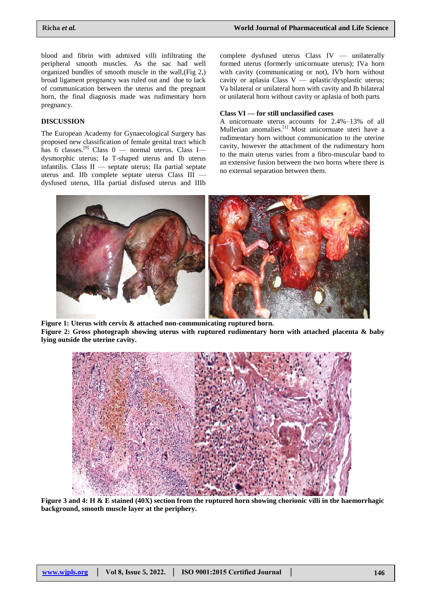blood and fibrin with admixed villi infiltrating the peripheral smooth muscles. As the sac had well organized bundles of smooth muscle in the wall,(Fig 2,) broad ligament pregnancy was ruled out and due to lack of communication between the uterus and the pregnant horn, the final diagnosis made was rudimentary horn pregnancy.

### **DISCUSSION**

The European Academy for Gynaecological Surgery has proposed new classification of female genital tract which has 6 classes.<sup>[9]</sup> Class  $0$  — normal uterus. Class I dysmorphic uterus; Ia T-shaped uterus and Ib uterus infantilis. Class II — septate uterus; IIa partial septate uterus and. IIb complete septate uterus Class III dysfused uterus, IIIa partial disfused uterus and IIIb

complete dysfused uterus Class IV — unilaterally formed uterus (formerly unicornuate uterus); IVa horn with cavity (communicating or not), IVb horn without cavity or aplasia Class V — aplastic/dysplastic uterus; Va bilateral or unilateral horn with cavity and Ib bilateral or unilateral horn without cavity or aplasia of both parts

#### **Class VI — for still unclassified cases**

A unicornuate uterus accounts for 2.4%–13% of all Mullerian anomalies.<sup>[1]</sup> Most unicornuate uteri have a rudimentary horn without communication to the uterine cavity, however the attachment of the rudimentary horn to the main uterus varies from a fibro-muscular band to an extensive fusion between the two horns where there is no external separation between them.



**Figure 1: Uterus with cervix & attached non-communicating ruptured horn. Figure 2: Gross photograph showing uterus with ruptured rudimentary horn with attached placenta & baby lying outside the uterine cavity.**



**Figure 3 and 4: H & E stained (40X) section from the ruptured horn showing chorionic villi in the haemorrhagic background, smooth muscle layer at the periphery.**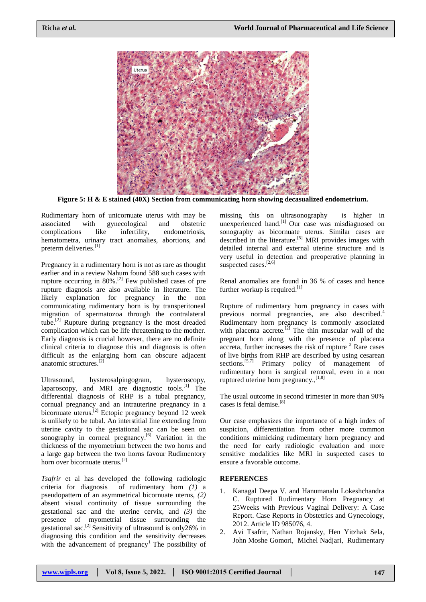

**Figure 5: H & E stained (40X) Section from communicating horn showing decasualized endometrium.**

Rudimentary horn of unicornuate uterus with may be associated with gynecological and obstetric complications like infertility, endometriosis, hematometra, urinary tract anomalies, abortions, and preterm deliveries.<sup>[1]</sup>

Pregnancy in a rudimentary horn is not as rare as thought earlier and in a review Nahum found 588 such cases with rupture occurring in  $80\%$ .<sup>[2]</sup> Few published cases of pre rupture diagnosis are also available in literature. The likely explanation for pregnancy in the non communicating rudimentary horn is by transperitoneal migration of spermatozoa through the contralateral tube. [2] Rupture during pregnancy is the most dreaded complication which can be life threatening to the mother. Early diagnosis is crucial however, there are no definite clinical criteria to diagnose this and diagnosis is often difficult as the enlarging horn can obscure adjacent anatomic structures. [2]

Ultrasound, hysterosalpingogram, hysteroscopy, laparoscopy, and MRI are diagnostic tools.<sup>[1]</sup> The differential diagnosis of RHP is a tubal pregnancy, cornual pregnancy and an intrauterine pregnancy in a bicornuate uterus.<sup>[2]</sup> Ectopic pregnancy beyond 12 week is unlikely to be tubal. An interstitial line extending from uterine cavity to the gestational sac can be seen on sonography in corneal pregnancy.<sup>[6]</sup> Variation in the thickness of the myometrium between the two horns and a large gap between the two horns favour Rudimentory horn over bicornuate uterus.[2]

*Tsafrir* et al has developed the following radiologic criteria for diagnosis of rudimentary horn *(1)* a pseudopattern of an asymmetrical bicornuate uterus, *(2)* absent visual continuity of tissue surrounding the gestational sac and the uterine cervix, and *(3)* the presence of myometrial tissue surrounding the gestational sac.[2] Sensitivity of ultrasound is only26% in diagnosing this condition and the sensitivity decreases with the advancement of pregnancy<sup>1</sup> The possibility of missing this on ultrasonography is higher in unexperienced hand.<sup>[1]</sup> Our case was misdiagnosed on sonography as bicornuate uterus. Similar cases are described in the literature.<sup>[5]</sup> MRI provides images with detailed internal and external uterine structure and is very useful in detection and preoperative planning in suspected cases.<sup>[2,6]</sup>

Renal anomalies are found in 36 % of cases and hence further workup is required.<sup>[1]</sup>

Rupture of rudimentary horn pregnancy in cases with previous normal pregnancies, are also described.<sup>4</sup> Rudimentary horn pregnancy is commonly associated with placenta accrete.<sup>[2]</sup> The thin muscular wall of the pregnant horn along with the presence of placenta accreta, further increases the risk of rupture  $2$  Rare cases of live births from RHP are described by using cesarean sections.<sup>[5,7]</sup> Primary policy of management of rudimentary horn is surgical removal, even in a non ruptured uterine horn pregnancy.,<sup>[1,8]</sup>

The usual outcome in second trimester in more than 90% cases is fetal demise.[8]

Our case emphasizes the importance of a high index of suspicion, differentiation from other more common conditions mimicking rudimentary horn pregnancy and the need for early radiologic evaluation and more sensitive modalities like MRI in suspected cases to ensure a favorable outcome.

## **REFERENCES**

- 1. Kanagal Deepa V. and Hanumanalu Lokeshchandra C. Ruptured Rudimentary Horn Pregnancy at 25Weeks with Previous Vaginal Delivery: A Case Report. Case Reports in Obstetrics and Gynecology, 2012. Article ID 985076, 4.
- 2. Avi Tsafrir, Nathan Rojansky, Hen Yitzhak Sela, John Moshe Gomori, Michel Nadjari, Rudimentary